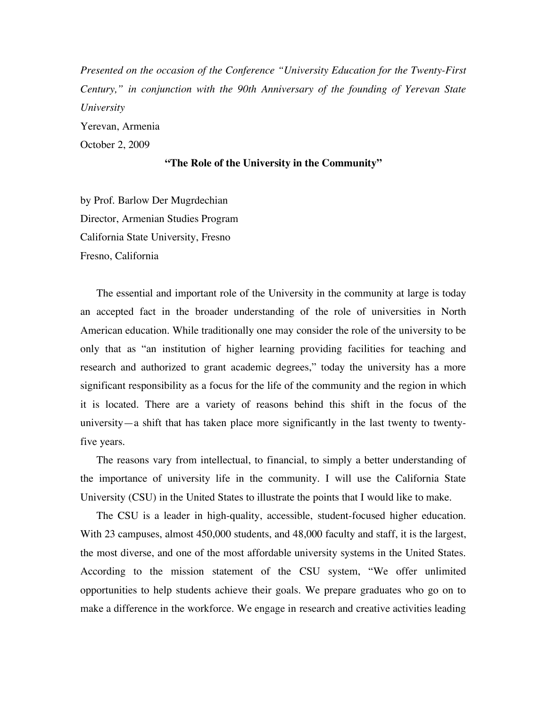*Presented on the occasion of the Conference "University Education for the Twenty-First Century," in conjunction with the 90th Anniversary of the founding of Yerevan State University* Yerevan, Armenia October 2, 2009

## **"The Role of the University in the Community"**

by Prof. Barlow Der Mugrdechian Director, Armenian Studies Program California State University, Fresno Fresno, California

The essential and important role of the University in the community at large is today an accepted fact in the broader understanding of the role of universities in North American education. While traditionally one may consider the role of the university to be only that as "an institution of higher learning providing facilities for teaching and research and authorized to grant academic degrees," today the university has a more significant responsibility as a focus for the life of the community and the region in which it is located. There are a variety of reasons behind this shift in the focus of the university—a shift that has taken place more significantly in the last twenty to twentyfive years.

The reasons vary from intellectual, to financial, to simply a better understanding of the importance of university life in the community. I will use the California State University (CSU) in the United States to illustrate the points that I would like to make.

The CSU is a leader in high-quality, accessible, student-focused higher education. With 23 campuses, almost 450,000 students, and 48,000 faculty and staff, it is the largest, the most diverse, and one of the most affordable university systems in the United States. According to the mission statement of the CSU system, "We offer unlimited opportunities to help students achieve their goals. We prepare graduates who go on to make a difference in the workforce. We engage in research and creative activities leading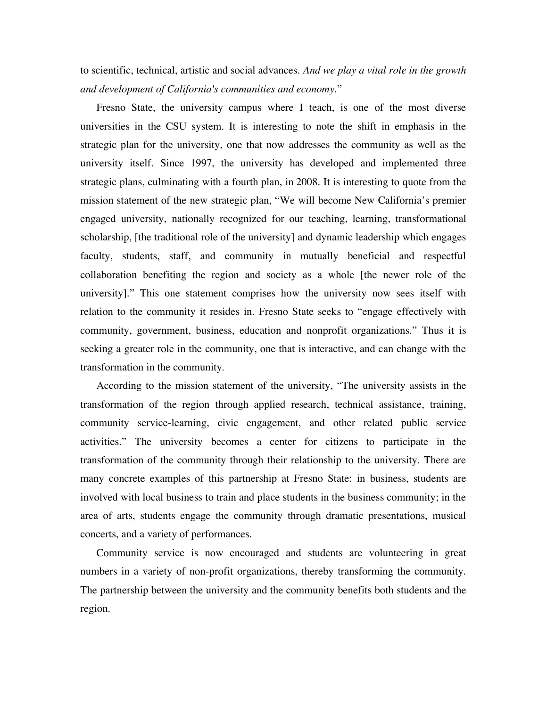to scientific, technical, artistic and social advances. *And we play a vital role in the growth and development of California's communities and economy*."

Fresno State, the university campus where I teach, is one of the most diverse universities in the CSU system. It is interesting to note the shift in emphasis in the strategic plan for the university, one that now addresses the community as well as the university itself. Since 1997, the university has developed and implemented three strategic plans, culminating with a fourth plan, in 2008. It is interesting to quote from the mission statement of the new strategic plan, "We will become New California's premier engaged university, nationally recognized for our teaching, learning, transformational scholarship, [the traditional role of the university] and dynamic leadership which engages faculty, students, staff, and community in mutually beneficial and respectful collaboration benefiting the region and society as a whole [the newer role of the university]." This one statement comprises how the university now sees itself with relation to the community it resides in. Fresno State seeks to "engage effectively with community, government, business, education and nonprofit organizations." Thus it is seeking a greater role in the community, one that is interactive, and can change with the transformation in the community.

According to the mission statement of the university, "The university assists in the transformation of the region through applied research, technical assistance, training, community service-learning, civic engagement, and other related public service activities." The university becomes a center for citizens to participate in the transformation of the community through their relationship to the university. There are many concrete examples of this partnership at Fresno State: in business, students are involved with local business to train and place students in the business community; in the area of arts, students engage the community through dramatic presentations, musical concerts, and a variety of performances.

Community service is now encouraged and students are volunteering in great numbers in a variety of non-profit organizations, thereby transforming the community. The partnership between the university and the community benefits both students and the region.